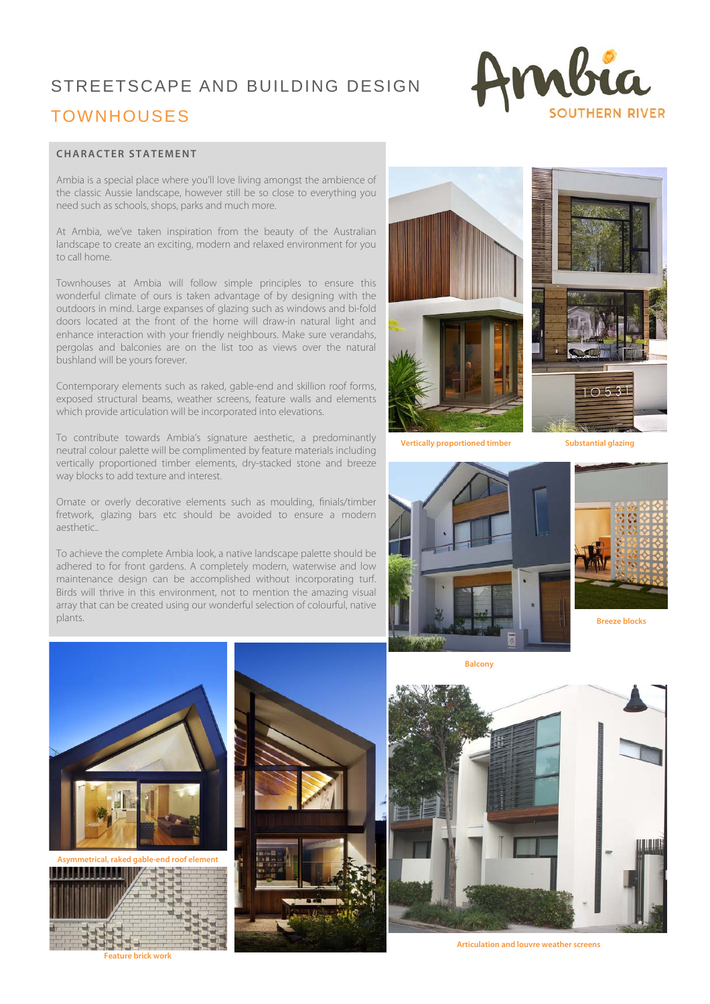# STREETSCAPE AND BUILDING DESIGN TOWNHOUSES



#### **CHARACTER STATEMENT**

Ambia is a special place where you'll love living amongst the ambience of the classic Aussie landscape, however still be so close to everything you need such as schools, shops, parks and much more.

At Ambia, we've taken inspiration from the beauty of the Australian landscape to create an exciting, modern and relaxed environment for you to call home.

Townhouses at Ambia will follow simple principles to ensure this wonderful climate of ours is taken advantage of by designing with the outdoors in mind. Large expanses of glazing such as windows and bi-fold doors located at the front of the home will draw-in natural light and enhance interaction with your friendly neighbours. Make sure verandahs, pergolas and balconies are on the list too as views over the natural bushland will be yours forever.

Contemporary elements such as raked, gable-end and skillion roof forms, exposed structural beams, weather screens, feature walls and elements which provide articulation will be incorporated into elevations.

To contribute towards Ambia's signature aesthetic, a predominantly neutral colour palette will be complimented by feature materials including vertically proportioned timber elements, dry-stacked stone and breeze way blocks to add texture and interest.

Ornate or overly decorative elements such as moulding, finials/timber fretwork, glazing bars etc should be avoided to ensure a modern aesthetic..

To achieve the complete Ambia look, a native landscape palette should be adhered to for front gardens. A completely modern, waterwise and low maintenance design can be accomplished without incorporating turf. Birds will thrive in this environment, not to mention the amazing visual array that can be created using our wonderful selection of colourful, native plants.









**Breeze blocks** 



**Asymmetrical, raked gable-end roof element** 



**Feature brick work** 



**Balcony** 



**Articulation and louvre weather screens**